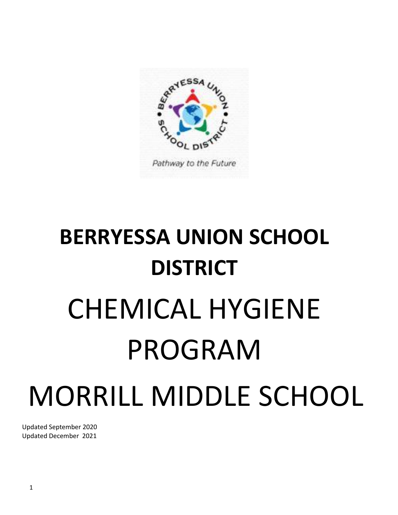

# **BERRYESSA UNION SCHOOL DISTRICT** CHEMICAL HYGIENE PROGRAM MORRILL MIDDLE SCHOOL

Updated September 2020 Updated December 2021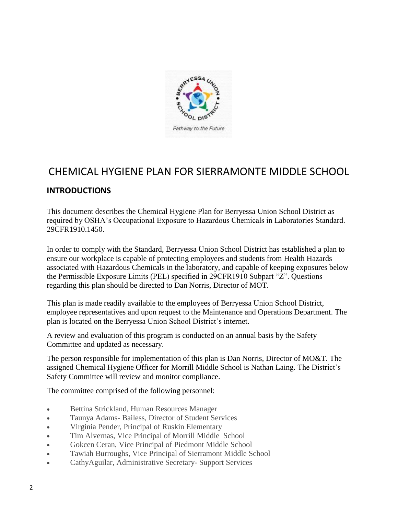

# CHEMICAL HYGIENE PLAN FOR SIERRAMONTE MIDDLE SCHOOL

# **INTRODUCTIONS**

This document describes the Chemical Hygiene Plan for Berryessa Union School District as required by OSHA's Occupational Exposure to Hazardous Chemicals in Laboratories Standard. 29CFR1910.1450.

In order to comply with the Standard, Berryessa Union School District has established a plan to ensure our workplace is capable of protecting employees and students from Health Hazards associated with Hazardous Chemicals in the laboratory, and capable of keeping exposures below the Permissible Exposure Limits (PEL) specified in 29CFR1910 Subpart "Z". Questions regarding this plan should be directed to Dan Norris, Director of MOT.

This plan is made readily available to the employees of Berryessa Union School District, employee representatives and upon request to the Maintenance and Operations Department. The plan is located on the Berryessa Union School District's internet.

A review and evaluation of this program is conducted on an annual basis by the Safety Committee and updated as necessary.

The person responsible for implementation of this plan is Dan Norris, Director of MO&T. The assigned Chemical Hygiene Officer for Morrill Middle School is Nathan Laing. The District's Safety Committee will review and monitor compliance.

The committee comprised of the following personnel:

- Bettina Strickland, Human Resources Manager
- Taunya Adams- Bailess, Director of Student Services
- Virginia Pender, Principal of Ruskin Elementary
- Tim Alvernas, Vice Principal of Morrill Middle School
- Gokcen Ceran, Vice Principal of Piedmont Middle School
- Tawiah Burroughs, Vice Principal of Sierramont Middle School
- CathyAguilar, Administrative Secretary- Support Services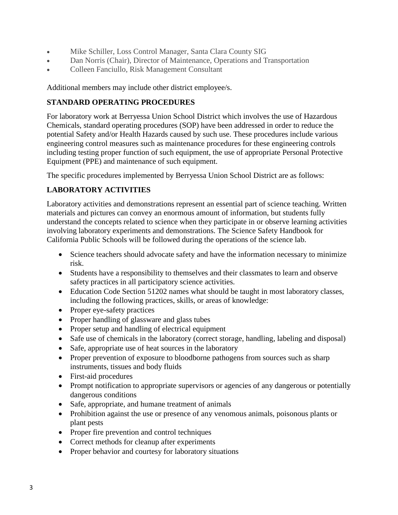- Mike Schiller, Loss Control Manager, Santa Clara County SIG
- Dan Norris (Chair), Director of Maintenance, Operations and Transportation
- Colleen Fanciullo, Risk Management Consultant

Additional members may include other district employee/s.

# **STANDARD OPERATING PROCEDURES**

For laboratory work at Berryessa Union School District which involves the use of Hazardous Chemicals, standard operating procedures (SOP) have been addressed in order to reduce the potential Safety and/or Health Hazards caused by such use. These procedures include various engineering control measures such as maintenance procedures for these engineering controls including testing proper function of such equipment, the use of appropriate Personal Protective Equipment (PPE) and maintenance of such equipment.

The specific procedures implemented by Berryessa Union School District are as follows:

# **LABORATORY ACTIVITIES**

Laboratory activities and demonstrations represent an essential part of science teaching. Written materials and pictures can convey an enormous amount of information, but students fully understand the concepts related to science when they participate in or observe learning activities involving laboratory experiments and demonstrations. The Science Safety Handbook for California Public Schools will be followed during the operations of the science lab.

- Science teachers should advocate safety and have the information necessary to minimize risk.
- Students have a responsibility to themselves and their classmates to learn and observe safety practices in all participatory science activities.
- Education Code Section 51202 names what should be taught in most laboratory classes, including the following practices, skills, or areas of knowledge:
- Proper eye-safety practices
- Proper handling of glassware and glass tubes
- Proper setup and handling of electrical equipment
- Safe use of chemicals in the laboratory (correct storage, handling, labeling and disposal)
- Safe, appropriate use of heat sources in the laboratory
- Proper prevention of exposure to bloodborne pathogens from sources such as sharp instruments, tissues and body fluids
- First-aid procedures
- Prompt notification to appropriate supervisors or agencies of any dangerous or potentially dangerous conditions
- Safe, appropriate, and humane treatment of animals
- Prohibition against the use or presence of any venomous animals, poisonous plants or plant pests
- Proper fire prevention and control techniques
- Correct methods for cleanup after experiments
- Proper behavior and courtesy for laboratory situations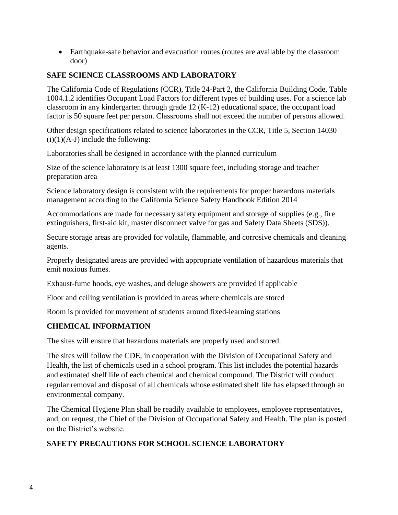Earthquake-safe behavior and evacuation routes (routes are available by the classroom door)

# **SAFE SCIENCE CLASSROOMS AND LABORATORY**

The California Code of Regulations (CCR), Title 24-Part 2, the California Building Code, Table 1004.1.2 identifies Occupant Load Factors for different types of building uses. For a science lab classroom in any kindergarten through grade 12 (K-12) educational space, the occupant load factor is 50 square feet per person. Classrooms shall not exceed the number of persons allowed.

Other design specifications related to science laboratories in the CCR, Title 5, Section 14030  $(i)(1)(A-J)$  include the following:

Laboratories shall be designed in accordance with the planned curriculum

Size of the science laboratory is at least 1300 square feet, including storage and teacher preparation area

Science laboratory design is consistent with the requirements for proper hazardous materials management according to the California Science Safety Handbook Edition 2014

Accommodations are made for necessary safety equipment and storage of supplies (e.g., fire extinguishers, first-aid kit, master disconnect valve for gas and Safety Data Sheets (SDS)).

Secure storage areas are provided for volatile, flammable, and corrosive chemicals and cleaning agents.

Properly designated areas are provided with appropriate ventilation of hazardous materials that emit noxious fumes.

Exhaust-fume hoods, eye washes, and deluge showers are provided if applicable

Floor and ceiling ventilation is provided in areas where chemicals are stored

Room is provided for movement of students around fixed-learning stations

# **CHEMICAL INFORMATION**

The sites will ensure that hazardous materials are properly used and stored.

The sites will follow the CDE, in cooperation with the Division of Occupational Safety and Health, the list of chemicals used in a school program. This list includes the potential hazards and estimated shelf life of each chemical and chemical compound. The District will conduct regular removal and disposal of all chemicals whose estimated shelf life has elapsed through an environmental company.

The Chemical Hygiene Plan shall be readily available to employees, employee representatives, and, on request, the Chief of the Division of Occupational Safety and Health. The plan is posted on the District's website.

# **SAFETY PRECAUTIONS FOR SCHOOL SCIENCE LABORATORY**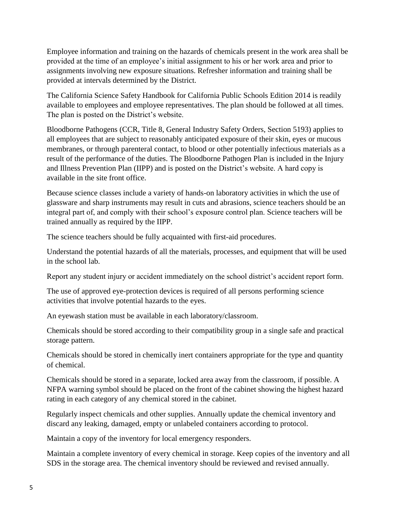Employee information and training on the hazards of chemicals present in the work area shall be provided at the time of an employee's initial assignment to his or her work area and prior to assignments involving new exposure situations. Refresher information and training shall be provided at intervals determined by the District.

The California Science Safety Handbook for California Public Schools Edition 2014 is readily available to employees and employee representatives. The plan should be followed at all times. The plan is posted on the District's website.

Bloodborne Pathogens (CCR, Title 8, General Industry Safety Orders, Section 5193) applies to all employees that are subject to reasonably anticipated exposure of their skin, eyes or mucous membranes, or through parenteral contact, to blood or other potentially infectious materials as a result of the performance of the duties. The Bloodborne Pathogen Plan is included in the Injury and Illness Prevention Plan (IIPP) and is posted on the District's website. A hard copy is available in the site front office.

Because science classes include a variety of hands-on laboratory activities in which the use of glassware and sharp instruments may result in cuts and abrasions, science teachers should be an integral part of, and comply with their school's exposure control plan. Science teachers will be trained annually as required by the IIPP.

The science teachers should be fully acquainted with first-aid procedures.

Understand the potential hazards of all the materials, processes, and equipment that will be used in the school lab.

Report any student injury or accident immediately on the school district's accident report form.

The use of approved eye-protection devices is required of all persons performing science activities that involve potential hazards to the eyes.

An eyewash station must be available in each laboratory/classroom.

Chemicals should be stored according to their compatibility group in a single safe and practical storage pattern.

Chemicals should be stored in chemically inert containers appropriate for the type and quantity of chemical.

Chemicals should be stored in a separate, locked area away from the classroom, if possible. A NFPA warning symbol should be placed on the front of the cabinet showing the highest hazard rating in each category of any chemical stored in the cabinet.

Regularly inspect chemicals and other supplies. Annually update the chemical inventory and discard any leaking, damaged, empty or unlabeled containers according to protocol.

Maintain a copy of the inventory for local emergency responders.

Maintain a complete inventory of every chemical in storage. Keep copies of the inventory and all SDS in the storage area. The chemical inventory should be reviewed and revised annually.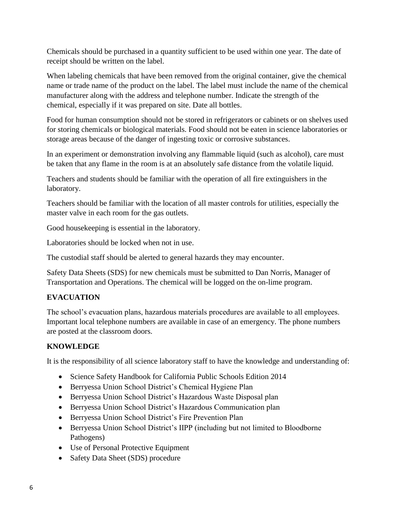Chemicals should be purchased in a quantity sufficient to be used within one year. The date of receipt should be written on the label.

When labeling chemicals that have been removed from the original container, give the chemical name or trade name of the product on the label. The label must include the name of the chemical manufacturer along with the address and telephone number. Indicate the strength of the chemical, especially if it was prepared on site. Date all bottles.

Food for human consumption should not be stored in refrigerators or cabinets or on shelves used for storing chemicals or biological materials. Food should not be eaten in science laboratories or storage areas because of the danger of ingesting toxic or corrosive substances.

In an experiment or demonstration involving any flammable liquid (such as alcohol), care must be taken that any flame in the room is at an absolutely safe distance from the volatile liquid.

Teachers and students should be familiar with the operation of all fire extinguishers in the laboratory.

Teachers should be familiar with the location of all master controls for utilities, especially the master valve in each room for the gas outlets.

Good housekeeping is essential in the laboratory.

Laboratories should be locked when not in use.

The custodial staff should be alerted to general hazards they may encounter.

Safety Data Sheets (SDS) for new chemicals must be submitted to Dan Norris, Manager of Transportation and Operations. The chemical will be logged on the on-lime program.

# **EVACUATION**

The school's evacuation plans, hazardous materials procedures are available to all employees. Important local telephone numbers are available in case of an emergency. The phone numbers are posted at the classroom doors.

# **KNOWLEDGE**

It is the responsibility of all science laboratory staff to have the knowledge and understanding of:

- Science Safety Handbook for California Public Schools Edition 2014
- Berryessa Union School District's Chemical Hygiene Plan
- Berryessa Union School District's Hazardous Waste Disposal plan
- Berryessa Union School District's Hazardous Communication plan
- Berryessa Union School District's Fire Prevention Plan
- Berryessa Union School District's IIPP (including but not limited to Bloodborne Pathogens)
- Use of Personal Protective Equipment
- Safety Data Sheet (SDS) procedure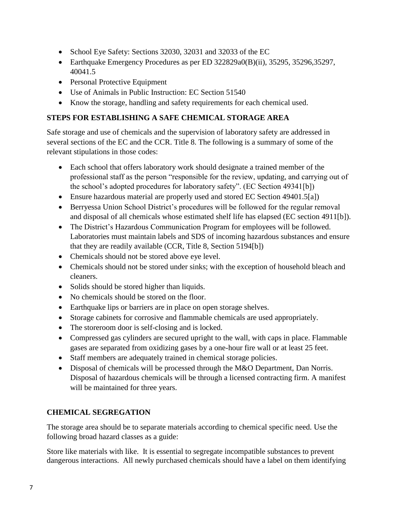- School Eye Safety: Sections 32030, 32031 and 32033 of the EC
- Earthquake Emergency Procedures as per ED 322829a0(B)(ii), 35295, 35296,35297, 40041.5
- Personal Protective Equipment
- Use of Animals in Public Instruction: EC Section 51540
- Know the storage, handling and safety requirements for each chemical used.

# **STEPS FOR ESTABLISHING A SAFE CHEMICAL STORAGE AREA**

Safe storage and use of chemicals and the supervision of laboratory safety are addressed in several sections of the EC and the CCR. Title 8. The following is a summary of some of the relevant stipulations in those codes:

- Each school that offers laboratory work should designate a trained member of the professional staff as the person "responsible for the review, updating, and carrying out of the school's adopted procedures for laboratory safety". (EC Section 49341[b])
- Ensure hazardous material are properly used and stored EC Section 49401.5[a])
- Berryessa Union School District's procedures will be followed for the regular removal and disposal of all chemicals whose estimated shelf life has elapsed (EC section 4911[b]).
- The District's Hazardous Communication Program for employees will be followed. Laboratories must maintain labels and SDS of incoming hazardous substances and ensure that they are readily available (CCR, Title 8, Section 5194[b])
- Chemicals should not be stored above eye level.
- Chemicals should not be stored under sinks; with the exception of household bleach and cleaners.
- Solids should be stored higher than liquids.
- No chemicals should be stored on the floor.
- Earthquake lips or barriers are in place on open storage shelves.
- Storage cabinets for corrosive and flammable chemicals are used appropriately.
- The storeroom door is self-closing and is locked.
- Compressed gas cylinders are secured upright to the wall, with caps in place. Flammable gases are separated from oxidizing gases by a one-hour fire wall or at least 25 feet.
- Staff members are adequately trained in chemical storage policies.
- Disposal of chemicals will be processed through the M&O Department, Dan Norris. Disposal of hazardous chemicals will be through a licensed contracting firm. A manifest will be maintained for three years.

# **CHEMICAL SEGREGATION**

The storage area should be to separate materials according to chemical specific need. Use the following broad hazard classes as a guide:

Store like materials with like. It is essential to segregate incompatible substances to prevent dangerous interactions. All newly purchased chemicals should have a label on them identifying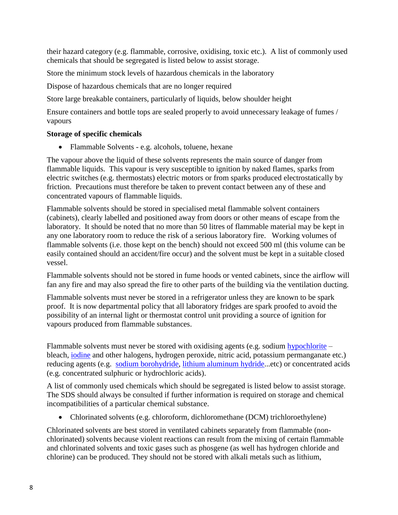their hazard category (e.g. flammable, corrosive, oxidising, toxic etc.). A list of commonly used chemicals that should be segregated is listed below to assist storage.

Store the minimum stock levels of hazardous chemicals in the laboratory

Dispose of hazardous chemicals that are no longer required

Store large breakable containers, particularly of liquids, below shoulder height

Ensure containers and bottle tops are sealed properly to avoid unnecessary leakage of fumes / vapours

#### **Storage of specific chemicals**

• Flammable Solvents - e.g. alcohols, toluene, hexane

The vapour above the liquid of these solvents represents the main source of danger from flammable liquids. This vapour is very susceptible to ignition by naked flames, sparks from electric switches (e.g. thermostats) electric motors or from sparks produced electrostatically by friction. Precautions must therefore be taken to prevent contact between any of these and concentrated vapours of flammable liquids.

Flammable solvents should be stored in specialised metal flammable solvent containers (cabinets), clearly labelled and positioned away from doors or other means of escape from the laboratory. It should be noted that no more than 50 litres of flammable material may be kept in any one laboratory room to reduce the risk of a serious laboratory fire. Working volumes of flammable solvents (i.e. those kept on the bench) should not exceed 500 ml (this volume can be easily contained should an accident/fire occur) and the solvent must be kept in a suitable closed vessel.

Flammable solvents should not be stored in fume hoods or vented cabinets, since the airflow will fan any fire and may also spread the fire to other parts of the building via the ventilation ducting.

Flammable solvents must never be stored in a refrigerator unless they are known to be spark proof. It is now departmental policy that all laboratory fridges are spark proofed to avoid the possibility of an internal light or thermostat control unit providing a source of ignition for vapours produced from flammable substances.

Flammable solvents must never be stored with oxidising agents (e.g. sodium [hypochlorite](http://en.wikipedia.org/wiki/Hypochlorite) – bleach, [iodine](http://en.wikipedia.org/wiki/Iodine) and other halogens, hydrogen peroxide, nitric acid, potassium permanganate etc.) reducing agents (e.g. [sodium borohydride,](http://en.wikipedia.org/wiki/Sodium_borohydride) [lithium aluminum hydride.](http://en.wikipedia.org/wiki/Lithium_aluminium_hydride)..etc) or concentrated acids (e.g. concentrated sulphuric or hydrochloric acids).

A list of commonly used chemicals which should be segregated is listed below to assist storage. The SDS should always be consulted if further information is required on storage and chemical incompatibilities of a particular chemical substance.

Chlorinated solvents (e.g. chloroform, dichloromethane (DCM) trichloroethylene)

Chlorinated solvents are best stored in ventilated cabinets separately from flammable (nonchlorinated) solvents because violent reactions can result from the mixing of certain flammable and chlorinated solvents and toxic gases such as phosgene (as well has hydrogen chloride and chlorine) can be produced. They should not be stored with alkali metals such as lithium,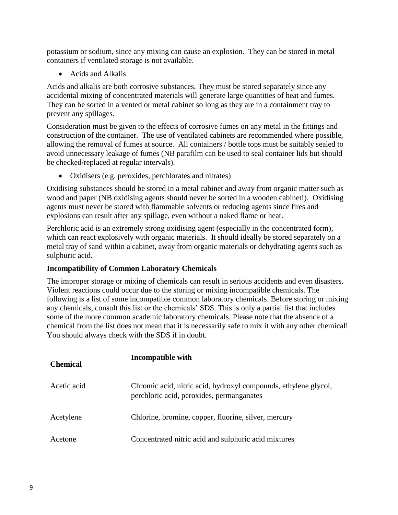potassium or sodium, since any mixing can cause an explosion. They can be stored in metal containers if ventilated storage is not available.

• Acids and Alkalis

Acids and alkalis are both corrosive substances. They must be stored separately since any accidental mixing of concentrated materials will generate large quantities of heat and fumes. They can be sorted in a vented or metal cabinet so long as they are in a containment tray to prevent any spillages.

Consideration must be given to the effects of corrosive fumes on any metal in the fittings and construction of the container. The use of ventilated cabinets are recommended where possible, allowing the removal of fumes at source. All containers / bottle tops must be suitably sealed to avoid unnecessary leakage of fumes (NB parafilm can be used to seal container lids but should be checked/replaced at regular intervals).

Oxidisers (e.g. peroxides, perchlorates and nitrates)

Oxidising substances should be stored in a metal cabinet and away from organic matter such as wood and paper (NB oxidising agents should never be sorted in a wooden cabinet!). Oxidising agents must never be stored with flammable solvents or reducing agents since fires and explosions can result after any spillage, even without a naked flame or heat.

Perchloric acid is an extremely strong oxidising agent (especially in the concentrated form), which can react explosively with organic materials. It should ideally be stored separately on a metal tray of sand within a cabinet, away from organic materials or dehydrating agents such as sulphuric acid.

# **Incompatibility of Common Laboratory Chemicals**

The improper storage or mixing of chemicals can result in serious accidents and even disasters. Violent reactions could occur due to the storing or mixing incompatible chemicals. The following is a list of some incompatible common laboratory chemicals. Before storing or mixing any chemicals, consult this list or the chemicals' SDS. This is only a partial list that includes some of the more common academic laboratory chemicals. Please note that the absence of a chemical from the list does not mean that it is necessarily safe to mix it with any other chemical! You should always check with the SDS if in doubt.

| <b>Chemical</b> | <b>Incompatible with</b>                                                                                     |  |  |  |  |
|-----------------|--------------------------------------------------------------------------------------------------------------|--|--|--|--|
| Acetic acid     | Chromic acid, nitric acid, hydroxyl compounds, ethylene glycol,<br>perchloric acid, peroxides, permanganates |  |  |  |  |
| Acetylene       | Chlorine, bromine, copper, fluorine, silver, mercury                                                         |  |  |  |  |
| Acetone         | Concentrated nitric acid and sulphuric acid mixtures                                                         |  |  |  |  |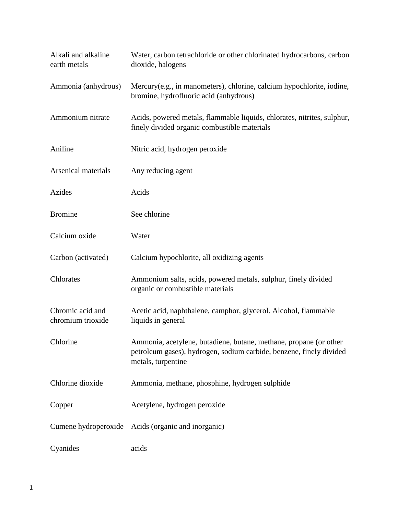| Alkali and alkaline<br>earth metals   | Water, carbon tetrachloride or other chlorinated hydrocarbons, carbon<br>dioxide, halogens                                                                     |  |  |  |  |  |
|---------------------------------------|----------------------------------------------------------------------------------------------------------------------------------------------------------------|--|--|--|--|--|
| Ammonia (anhydrous)                   | Mercury(e.g., in manometers), chlorine, calcium hypochlorite, iodine,<br>bromine, hydrofluoric acid (anhydrous)                                                |  |  |  |  |  |
| Ammonium nitrate                      | Acids, powered metals, flammable liquids, chlorates, nitrites, sulphur,<br>finely divided organic combustible materials                                        |  |  |  |  |  |
| Aniline                               | Nitric acid, hydrogen peroxide                                                                                                                                 |  |  |  |  |  |
| Arsenical materials                   | Any reducing agent                                                                                                                                             |  |  |  |  |  |
| Azides                                | Acids                                                                                                                                                          |  |  |  |  |  |
| <b>Bromine</b>                        | See chlorine                                                                                                                                                   |  |  |  |  |  |
| Calcium oxide                         | Water                                                                                                                                                          |  |  |  |  |  |
| Carbon (activated)                    | Calcium hypochlorite, all oxidizing agents                                                                                                                     |  |  |  |  |  |
| Chlorates                             | Ammonium salts, acids, powered metals, sulphur, finely divided<br>organic or combustible materials                                                             |  |  |  |  |  |
| Chromic acid and<br>chromium trioxide | Acetic acid, naphthalene, camphor, glycerol. Alcohol, flammable<br>liquids in general                                                                          |  |  |  |  |  |
| Chlorine                              | Ammonia, acetylene, butadiene, butane, methane, propane (or other<br>petroleum gases), hydrogen, sodium carbide, benzene, finely divided<br>metals, turpentine |  |  |  |  |  |
| Chlorine dioxide                      | Ammonia, methane, phosphine, hydrogen sulphide                                                                                                                 |  |  |  |  |  |
| Copper                                | Acetylene, hydrogen peroxide                                                                                                                                   |  |  |  |  |  |
|                                       | Cumene hydroperoxide Acids (organic and inorganic)                                                                                                             |  |  |  |  |  |
| Cyanides                              | acids                                                                                                                                                          |  |  |  |  |  |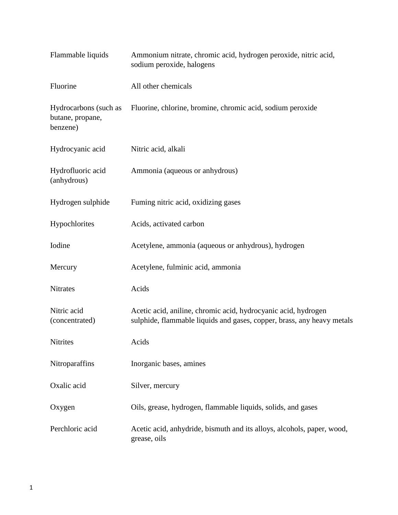| Flammable liquids                                     | Ammonium nitrate, chromic acid, hydrogen peroxide, nitric acid,<br>sodium peroxide, halogens                                             |  |  |  |  |
|-------------------------------------------------------|------------------------------------------------------------------------------------------------------------------------------------------|--|--|--|--|
| Fluorine                                              | All other chemicals                                                                                                                      |  |  |  |  |
| Hydrocarbons (such as<br>butane, propane,<br>benzene) | Fluorine, chlorine, bromine, chromic acid, sodium peroxide                                                                               |  |  |  |  |
| Hydrocyanic acid                                      | Nitric acid, alkali                                                                                                                      |  |  |  |  |
| Hydrofluoric acid<br>(anhydrous)                      | Ammonia (aqueous or anhydrous)                                                                                                           |  |  |  |  |
| Hydrogen sulphide                                     | Fuming nitric acid, oxidizing gases                                                                                                      |  |  |  |  |
| Hypochlorites                                         | Acids, activated carbon                                                                                                                  |  |  |  |  |
| Iodine                                                | Acetylene, ammonia (aqueous or anhydrous), hydrogen                                                                                      |  |  |  |  |
| Mercury                                               | Acetylene, fulminic acid, ammonia                                                                                                        |  |  |  |  |
| <b>Nitrates</b>                                       | Acids                                                                                                                                    |  |  |  |  |
| Nitric acid<br>(concentrated)                         | Acetic acid, aniline, chromic acid, hydrocyanic acid, hydrogen<br>sulphide, flammable liquids and gases, copper, brass, any heavy metals |  |  |  |  |
| Nitrites                                              | Acids                                                                                                                                    |  |  |  |  |
| Nitroparaffins                                        | Inorganic bases, amines                                                                                                                  |  |  |  |  |
| Oxalic acid                                           | Silver, mercury                                                                                                                          |  |  |  |  |
| Oxygen                                                | Oils, grease, hydrogen, flammable liquids, solids, and gases                                                                             |  |  |  |  |
| Perchloric acid                                       | Acetic acid, anhydride, bismuth and its alloys, alcohols, paper, wood,<br>grease, oils                                                   |  |  |  |  |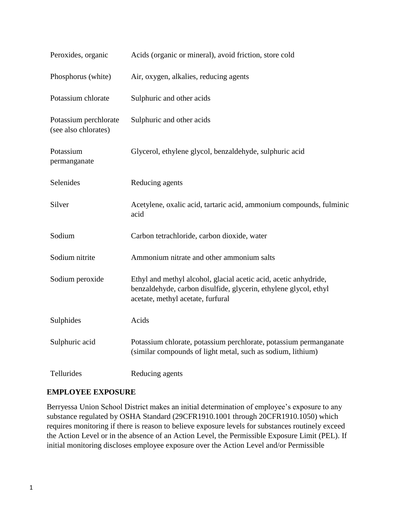| Peroxides, organic                            | Acids (organic or mineral), avoid friction, store cold                                                                                                                    |  |  |  |  |  |
|-----------------------------------------------|---------------------------------------------------------------------------------------------------------------------------------------------------------------------------|--|--|--|--|--|
| Phosphorus (white)                            | Air, oxygen, alkalies, reducing agents                                                                                                                                    |  |  |  |  |  |
| Potassium chlorate                            | Sulphuric and other acids                                                                                                                                                 |  |  |  |  |  |
| Potassium perchlorate<br>(see also chlorates) | Sulphuric and other acids                                                                                                                                                 |  |  |  |  |  |
| Potassium<br>permanganate                     | Glycerol, ethylene glycol, benzaldehyde, sulphuric acid                                                                                                                   |  |  |  |  |  |
| Selenides                                     | Reducing agents                                                                                                                                                           |  |  |  |  |  |
| Silver                                        | Acetylene, oxalic acid, tartaric acid, ammonium compounds, fulminic<br>acid                                                                                               |  |  |  |  |  |
| Sodium                                        | Carbon tetrachloride, carbon dioxide, water                                                                                                                               |  |  |  |  |  |
| Sodium nitrite                                | Ammonium nitrate and other ammonium salts                                                                                                                                 |  |  |  |  |  |
| Sodium peroxide                               | Ethyl and methyl alcohol, glacial acetic acid, acetic anhydride,<br>benzaldehyde, carbon disulfide, glycerin, ethylene glycol, ethyl<br>acetate, methyl acetate, furfural |  |  |  |  |  |
| Sulphides                                     | Acids                                                                                                                                                                     |  |  |  |  |  |
| Sulphuric acid                                | Potassium chlorate, potassium perchlorate, potassium permanganate<br>(similar compounds of light metal, such as sodium, lithium)                                          |  |  |  |  |  |
| Tellurides                                    | Reducing agents                                                                                                                                                           |  |  |  |  |  |

# **EMPLOYEE EXPOSURE**

Berryessa Union School District makes an initial determination of employee's exposure to any substance regulated by OSHA Standard (29CFR1910.1001 through 20CFR1910.1050) which requires monitoring if there is reason to believe exposure levels for substances routinely exceed the Action Level or in the absence of an Action Level, the Permissible Exposure Limit (PEL). If initial monitoring discloses employee exposure over the Action Level and/or Permissible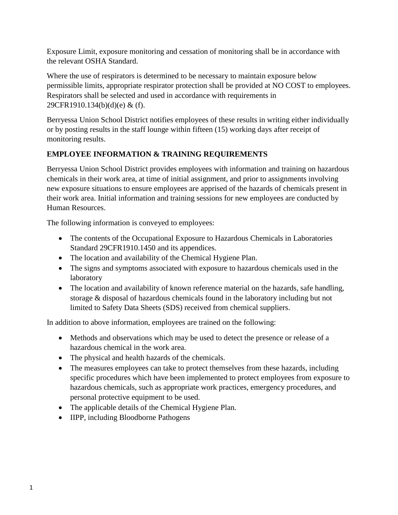Exposure Limit, exposure monitoring and cessation of monitoring shall be in accordance with the relevant OSHA Standard.

Where the use of respirators is determined to be necessary to maintain exposure below permissible limits, appropriate respirator protection shall be provided at NO COST to employees. Respirators shall be selected and used in accordance with requirements in 29CFR1910.134(b)(d)(e) & (f).

Berryessa Union School District notifies employees of these results in writing either individually or by posting results in the staff lounge within fifteen (15) working days after receipt of monitoring results.

# **EMPLOYEE INFORMATION & TRAINING REQUIREMENTS**

Berryessa Union School District provides employees with information and training on hazardous chemicals in their work area, at time of initial assignment, and prior to assignments involving new exposure situations to ensure employees are apprised of the hazards of chemicals present in their work area. Initial information and training sessions for new employees are conducted by Human Resources.

The following information is conveyed to employees:

- The contents of the Occupational Exposure to Hazardous Chemicals in Laboratories Standard 29CFR1910.1450 and its appendices.
- The location and availability of the Chemical Hygiene Plan.
- The signs and symptoms associated with exposure to hazardous chemicals used in the laboratory
- The location and availability of known reference material on the hazards, safe handling, storage & disposal of hazardous chemicals found in the laboratory including but not limited to Safety Data Sheets (SDS) received from chemical suppliers.

In addition to above information, employees are trained on the following:

- Methods and observations which may be used to detect the presence or release of a hazardous chemical in the work area.
- The physical and health hazards of the chemicals.
- The measures employees can take to protect themselves from these hazards, including specific procedures which have been implemented to protect employees from exposure to hazardous chemicals, such as appropriate work practices, emergency procedures, and personal protective equipment to be used.
- The applicable details of the Chemical Hygiene Plan.
- IIPP, including Bloodborne Pathogens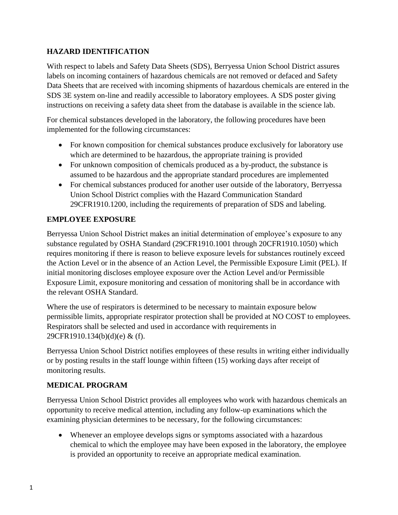# **HAZARD IDENTIFICATION**

With respect to labels and Safety Data Sheets (SDS), Berryessa Union School District assures labels on incoming containers of hazardous chemicals are not removed or defaced and Safety Data Sheets that are received with incoming shipments of hazardous chemicals are entered in the SDS 3E system on-line and readily accessible to laboratory employees. A SDS poster giving instructions on receiving a safety data sheet from the database is available in the science lab.

For chemical substances developed in the laboratory, the following procedures have been implemented for the following circumstances:

- For known composition for chemical substances produce exclusively for laboratory use which are determined to be hazardous, the appropriate training is provided
- For unknown composition of chemicals produced as a by-product, the substance is assumed to be hazardous and the appropriate standard procedures are implemented
- For chemical substances produced for another user outside of the laboratory, Berryessa Union School District complies with the Hazard Communication Standard 29CFR1910.1200, including the requirements of preparation of SDS and labeling.

# **EMPLOYEE EXPOSURE**

Berryessa Union School District makes an initial determination of employee's exposure to any substance regulated by OSHA Standard (29CFR1910.1001 through 20CFR1910.1050) which requires monitoring if there is reason to believe exposure levels for substances routinely exceed the Action Level or in the absence of an Action Level, the Permissible Exposure Limit (PEL). If initial monitoring discloses employee exposure over the Action Level and/or Permissible Exposure Limit, exposure monitoring and cessation of monitoring shall be in accordance with the relevant OSHA Standard.

Where the use of respirators is determined to be necessary to maintain exposure below permissible limits, appropriate respirator protection shall be provided at NO COST to employees. Respirators shall be selected and used in accordance with requirements in 29CFR1910.134(b)(d)(e) & (f).

Berryessa Union School District notifies employees of these results in writing either individually or by posting results in the staff lounge within fifteen (15) working days after receipt of monitoring results.

# **MEDICAL PROGRAM**

Berryessa Union School District provides all employees who work with hazardous chemicals an opportunity to receive medical attention, including any follow-up examinations which the examining physician determines to be necessary, for the following circumstances:

 Whenever an employee develops signs or symptoms associated with a hazardous chemical to which the employee may have been exposed in the laboratory, the employee is provided an opportunity to receive an appropriate medical examination.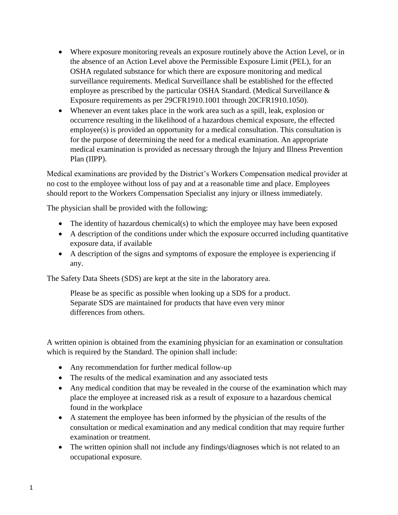- Where exposure monitoring reveals an exposure routinely above the Action Level, or in the absence of an Action Level above the Permissible Exposure Limit (PEL), for an OSHA regulated substance for which there are exposure monitoring and medical surveillance requirements. Medical Surveillance shall be established for the effected employee as prescribed by the particular OSHA Standard. (Medical Surveillance & Exposure requirements as per 29CFR1910.1001 through 20CFR1910.1050).
- Whenever an event takes place in the work area such as a spill, leak, explosion or occurrence resulting in the likelihood of a hazardous chemical exposure, the effected employee(s) is provided an opportunity for a medical consultation. This consultation is for the purpose of determining the need for a medical examination. An appropriate medical examination is provided as necessary through the Injury and Illness Prevention Plan (IIPP).

Medical examinations are provided by the District's Workers Compensation medical provider at no cost to the employee without loss of pay and at a reasonable time and place. Employees should report to the Workers Compensation Specialist any injury or illness immediately.

The physician shall be provided with the following:

- The identity of hazardous chemical(s) to which the employee may have been exposed
- A description of the conditions under which the exposure occurred including quantitative exposure data, if available
- A description of the signs and symptoms of exposure the employee is experiencing if any.

The Safety Data Sheets (SDS) are kept at the site in the laboratory area.

Please be as specific as possible when looking up a SDS for a product. Separate SDS are maintained for products that have even very minor differences from others.

A written opinion is obtained from the examining physician for an examination or consultation which is required by the Standard. The opinion shall include:

- Any recommendation for further medical follow-up
- The results of the medical examination and any associated tests
- Any medical condition that may be revealed in the course of the examination which may place the employee at increased risk as a result of exposure to a hazardous chemical found in the workplace
- A statement the employee has been informed by the physician of the results of the consultation or medical examination and any medical condition that may require further examination or treatment.
- The written opinion shall not include any findings/diagnoses which is not related to an occupational exposure.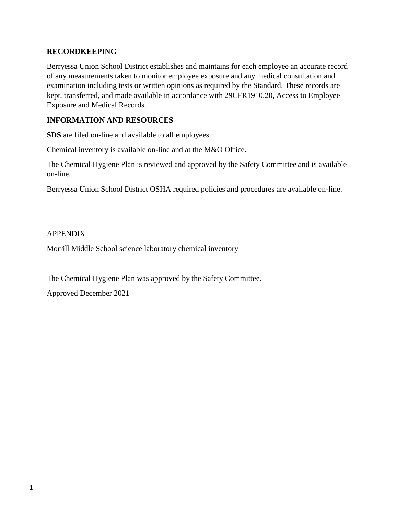#### **RECORDKEEPING**

Berryessa Union School District establishes and maintains for each employee an accurate record of any measurements taken to monitor employee exposure and any medical consultation and examination including tests or written opinions as required by the Standard. These records are kept, transferred, and made available in accordance with 29CFR1910.20, Access to Employee Exposure and Medical Records.

#### **INFORMATION AND RESOURCES**

**SDS** are filed on-line and available to all employees.

Chemical inventory is available on-line and at the M&O Office.

The Chemical Hygiene Plan is reviewed and approved by the Safety Committee and is available on-line.

Berryessa Union School District OSHA required policies and procedures are available on-line.

#### APPENDIX

Morrill Middle School science laboratory chemical inventory

The Chemical Hygiene Plan was approved by the Safety Committee.

Approved December 2021